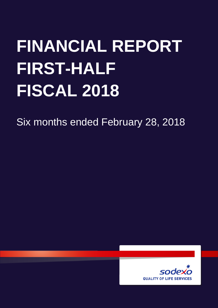# **FINANCIAL REPORT FIRST-HALF FISCAL 2018**

Six months ended February 28, 2018

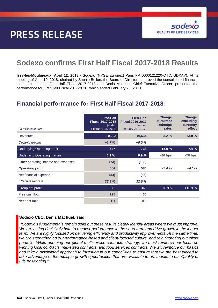# **PRESS RELEASE**



# **Sodexo confirms First Half Fiscal 2017-2018 Results**

**Issy-les-Moulineaux, April 12, 2018 -** Sodexo (NYSE Euronext Paris FR 0000121220-OTC: SDXAY). At its meeting of April 10, 2018, chaired by Sophie Bellon, the Board of Directors approved the consolidated financial statements for the First Half Fiscal 2017-2018 and Denis Machuel, Chief Executive Officer, presented the performance for First Half Fiscal 2017-2018, which ended February 28, 2018.

## **Financial performance for First Half Fiscal 2017-2018:**

| (in millions of euro)               | <b>First-Half</b><br><b>Fiscal 2017-2018</b><br>(ended<br>February 28, 2018) | <b>First-Half</b><br><b>Fiscal 2016-2017</b><br>(ended<br>February 28, 2017) | <b>Change</b><br>at current<br>exchange<br>rates | <b>Change</b><br>excluding<br>currency<br>effect |
|-------------------------------------|------------------------------------------------------------------------------|------------------------------------------------------------------------------|--------------------------------------------------|--------------------------------------------------|
| <b>Revenues</b>                     | 10,293                                                                       | 10,634                                                                       | $-3.2%$                                          | $+3.0%$                                          |
| Organic growth                      | $+1.7%$                                                                      | $+0.0%$                                                                      |                                                  |                                                  |
| <b>Underlying Operating profit</b>  | 627                                                                          | 738                                                                          | $-15.0%$                                         | $-7.4%$                                          |
| <b>Underlying Operating margin</b>  | 6.1%                                                                         | 6.9%                                                                         | $-80$ bps                                        | $-70$ bps                                        |
| Other operating income and expenses | (73)                                                                         | (153)                                                                        |                                                  |                                                  |
| <b>Operating profit</b>             | 554                                                                          | 586                                                                          | $-5.4%$                                          | $+4.1%$                                          |
| Net financial expense               | (44)                                                                         | (56)                                                                         |                                                  |                                                  |
| Effective tax rate                  | 25.9%                                                                        | 32.6%                                                                        |                                                  |                                                  |
| Group net profit                    | 372                                                                          | 348                                                                          | $+6.9%$                                          | $+13.9%$                                         |
| Free cashflow                       | 125                                                                          | 30                                                                           |                                                  |                                                  |
| Net debt ratio                      | 1.1                                                                          | 0.9                                                                          |                                                  |                                                  |

### **Sodexo CEO, Denis Machuel, said:**

*"Sodexo's fundamentals remain solid but these results clearly identify areas where we must improve. We are acting decisively both to recover performance in the short term and drive growth in the longer term. We are highly focused on delivering efficiency and productivity improvements. At the same time, we are strengthening our performance-based and client-focused culture, and reinvigorating our client portfolio. While pursuing our global multiservice contracts strategy, we must reinforce our focus on winning local contracts, mid-sized contracts, and food services contracts. We will reinforce our basics and take a disciplined approach to investing in our capabilities to ensure that we are best placed to take advantage of the multiple growth opportunities that are available to us, thanks to our Quality of Life positioning."*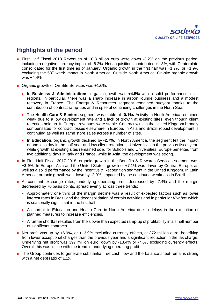

# **Highlights of the period**

- First Half Fiscal 2018 Revenues of 10.3 billion euro were down -3.2% on the previous period, including a negative currency impact of -6.2%. Net acquisitions contributed +1.3%, with Centerplate consolidated for the first time as of January. Organic growth in the first half was +1.7%, or +1.9% excluding the 53rd week impact in North America. Outside North America, On-site organic growth was +4.4%.
- Organic growth of On-Site Services was +1.6%:
	- In **Business & Administrations**, organic growth was **+4.5%** with a solid performance in all regions. In particular, there was a sharp increase in airport lounge business and a modest recovery in France. The Energy & Resources segment remained buoyant thanks to the contribution of contract ramp-ups and in spite of continuing challenges in the North Sea.
	- The **Health Care & Seniors** segment was stable at **-0.1%.** Activity in North America remained weak due to a low development rate and a lack of growth at existing sites, even though client retention held up. In Europe, revenues were stable. Contract wins in the United Kingdom broadly compensated for contract losses elsewhere in Europe. In Asia and Brazil, robust development is continuing as well as same store sales across a number of sites.
	- In **Education**, organic growth declined by **-2.7%**. In North America, the segment felt the impact of one less day in the half year and low client retention in Universities in the previous fiscal year, while growth at existing sites remained solid for Schools and Universities. Europe benefited from two additional days in Italy and France, while in Asia, the development was strong.
- In First Half Fiscal 2017-2018, organic growth in the Benefits & Rewards Services segment was **+2.9%.** In Europe, Asia and the United States, growth of +7.1% was driven by Central Europe, as well as a solid performance by the Incentive & Recognition segment in the United Kingdom. In Latin America, organic growth was down by -2.0%, impacted by the continued weakness in Brazil.
- At constant exchange rates, underlying operating profit decreased by -7.4% and the margin decreased by 70 basis points, spread evenly across three trends:
	- Approximately one third of the margin decline was a result of expected factors such as lower interest rates in Brazil and the deconsolidation of certain activities and in particular *Vivabox* which is seasonally significant in the first half.
	- A shortfall in Education and Health Care in North America due to delays in the execution of planned measures to increase efficiencies.
	- A further shortfall resulted from the slower than expected ramp-up of profitability in a small number of significant contracts.
- Net profit was up by  $+6.9\%$ , or  $+13.9\%$  excluding currency effects, at 372 million euro, benefiting from lower exceptional charges than the previous year and a significant reduction in the tax charge. Underlying net profit was 397 million euro, down by -13.4% or -7.6% excluding currency effects. Overall this was in line with the trend in underlying operating profit.
- The Group continues to generate substantial free cash flow and the balance sheet remains strong with a net debt ratio of 1.1x.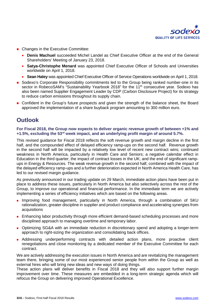

- Changes in the Executive Committee:
	- **Denis Machuel** succeeded Michel Landel as Chief Executive Officer at the end of the General Shareholders' Meeting of January 23, 2018.
	- **Satya-Christophe Menard** was appointed Chief Executive Officer of Schools and Universities worldwide on April 1, 2018.
	- **Sean Haley** was appointed Chief Executive Officer of Service Operations worldwide on April 1, 2018.
- Sodexo's Corporate Responsibility commitments led to the Group being ranked number-one in its sector in RobecoSAM's "Sustainability Yearbook 2018" for the 11<sup>th</sup> consecutive year. Sodexo has also been named Supplier Engagement Leader by CDP (Carbon Disclosure Project) for its strategy to reduce carbon emissions throughout its supply chain.
- Confident in the Group's future prospects and given the strength of the balance sheet, the Board approved the implementation of a share buyback program amounting to 300 million euro.

### **Outlook**

### **For Fiscal 2018, the Group now expects to deliver organic revenue growth of between +1% and +1.5%, excluding the 53rd week impact, and an underlying profit margin of around 5.7%.**

This revised guidance for Fiscal 2018 reflects the soft revenue growth and margin decline in the first half, and the compounded effect of delayed efficiency ramp-ups on the second half. Revenue growth in the second half will be impacted by a relatively low level of recent new contract wins; continued weakness in North America, particularly in Health Care and Seniors; a negative calendar effect in Education in the third quarter; the impact of contract losses in the UK; and the end of significant rampups in Energy & Resources. The weak revenue growth in the second half, combined with the impact of the delayed efficiency ramp-ups and a further deterioration expected in North America Health Care, has led to our revised margin guidance.

As previously announced in our trading update on 29 March, immediate action plans have been put in place to address these issues, particularly in North America but also selectively across the rest of the Group, to improve our operational and financial performance. In the immediate term we are actively implementing a series of efficiency initiatives which are based on the following areas.

- Improving food management, particularly in North America, through a combination of SKU rationalization, greater discipline in supplier and product compliance and accelerating synergies from acquisitions
- **E** Enhancing labor productivity through more efficient demand-based scheduling processes and more disciplined approach to managing overtime and temporary labor.
- **D** Optimizing SG&A with an immediate reduction in discretionary spend and adopting a longer-term approach to right-sizing the organization and consolidating back offices.
- **Addressing underperforming contracts with detailed action plans, more proactive client** renegotiations and close monitoring by a dedicated member of the Executive Committee for each contract.

We are actively addressing the execution issues in North America and are revitalizing the management team there, bringing some of our most experienced senior people from within the Group as well as external hires who will bring new ideas and new ways of doing things.

These action plans will deliver benefits in Fiscal 2018 and they will also support further margin improvement over time. These measures are embedded in a long-term strategic agenda which will refocus the Group on delivering improved Operational Excellence.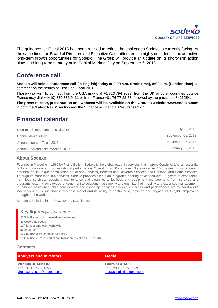

The guidance for Fiscal 2018 has been revised to reflect the challenges Sodexo is currently facing. At the same time, the Board of Directors and Executive Committee remain highly confident in the attractive long-term growth opportunities for Sodexo. The Group will provide an update on its short-term action plans and long-term strategy at its Capital Markets Day on September 6, 2018.

## **Conference call**

**Sodexo will hold a conference call (in English) today at 9:00 a.m. (Paris time), 8:00 a.m. (London time)**, to comment on the results of First Half Fiscal 2018.

Those who wish to connect from the USA may dial +1 323 794 2093, from the UK or other countries outside France may dial +44 (0) 330 336 9411 or from France +01 76 77 22 57, followed by the passcode 8426254.

**The press release, presentation and webcast will be available on the Group's website [www.sodexo.com](http://www.sodexo.com/)** in both the "Latest News" section and the "Finance – Financial Results" section.

## **Financial calendar**

| Nine-month revenues - Fiscal 2018 | July 05, 2018      |
|-----------------------------------|--------------------|
| Capital Markets Day               | September 06, 2018 |
| Annual results - Fiscal 2018      | November 08, 2018  |
| Annual Shareholders' Meeting 2019 | January 22, 2019   |

### **About Sodexo**

Founded in Marseille in 1966 by Pierre Bellon, Sodexo is the global leader in services that improve Quality of Life, an essential factor in individual and organizational performance. Operating in 80 countries, Sodexo serves 100 million consumers each day through its unique combination of On-site Services, Benefits and Rewards Services and Personal and Home Services. Through its more than 100 services, Sodexo provides clients an integrated offering developed over 50 years of experience: from food services, reception, maintenance and cleaning, to facilities and equipment management; from services and programs fostering employees' engagement to solutions that simplify and optimize their mobility and expenses management, to in-home assistance, child care centers and concierge services. Sodexo's success and performance are founded on its independence, its sustainable business model and its ability to continuously develop and engage its 427,000 employees throughout the world.

Sodexo is included in the CAC 40 and DJSI indices.

**Key figures** (as of August 31, 2017) **20.7 billion** euro in consolidated revenues **427,000** employees **19th** largest employer worldwide **80** countries **100 million** consumers served daily **11.8 billion** euro in market capitalization (as of April 11, 2018)

### **Contacts**

| <b>Analysts and Investors</b> | <b>Media</b> |
|-------------------------------|--------------|
|                               |              |

**Virginia JEANSON** Tel: +33 1 57 75 80 56 [virginia.jeanson@sodexo.com](mailto:virginia.jeanson@sodexo.com)

**Laura SCHALK**  Tel: +33 1 57 75 85 69 [laura.schalk@sodexo.com](mailto:laura.schalk@sodexo.com)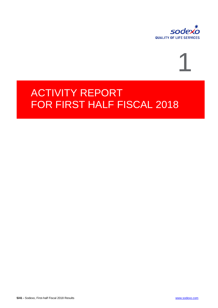

# 1

# ACTIVITY REPORT FOR FIRST HALF FISCAL 2018

**5/41 -** Sodexo, First-half Fiscal 2018 Results [www.sodexo.com](http://www.sodexo.com/)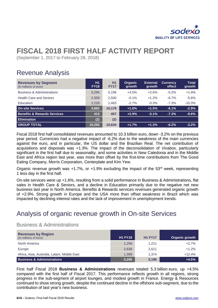

# **FISCAL 2018 FIRST HALF ACTIVITY REPORT**

(September 1, 2017 to February 28, 2018)

# Revenue Analysis

| <b>Revenues by Segment</b><br>(In millions of euro) | H1<br><b>FY18</b> | H1<br><b>FY17</b> | <b>Organic</b><br>growth | <b>External</b><br><b>growth</b> | <b>Currency</b><br>effect | <b>Total</b><br>growth |
|-----------------------------------------------------|-------------------|-------------------|--------------------------|----------------------------------|---------------------------|------------------------|
| <b>Business &amp; Administrations</b>               | 5.295             | 5,196             | $+4.5%$                  | $+2.6%$                          | $-5.2\%$                  | $+1.9%$                |
| <b>Health Care and Seniors</b>                      | 2,359             | 2,500             | $-0.1%$                  | $+1.2%$                          | $-6.7\%$                  | $-5.6%$                |
| Education                                           | 2,228             | 2.483             | $-2.7%$                  | $-0.3%$                          | $-7.3%$                   | $-10.3%$               |
| <b>On-site Services</b>                             | 9,882             | 10,179            | $+1.6%$                  | $+1.5%$                          | $-6.1%$                   | $-2.9%$                |
| <b>Benefits &amp; Rewards Services</b>              | 413               | 457               | $+2.9%$                  | $-5.1%$                          | $-7.3%$                   | $-9.6%$                |
| <b>Elimination</b>                                  | (2)               | (2)               |                          |                                  |                           |                        |
| <b>GROUP TOTAL</b>                                  | 10,293            | 10.634            | $+1.7%$                  | $+1.3%$                          | $-6.2%$                   | $-3.2%$                |

Fiscal 2018 first half consolidated revenues amounted to 10.3 billion euro, down -3.2% on the previous year period. Currencies had a negative impact of -6.2% due to the weakness of the main currencies against the euro, and in particular, the US dollar and the Brazilian Real. The net contribution of acquisitions and disposals was +1.3%. The impact of the deconsolidation of *Vivabox*, particularly significant in the first half due to seasonality, and some activities in New Caledonia and in the Middle East and Africa region last year, was more than offset by the first-time contributions from The Good Eating Company, Morris Corporation, Centerplate and Kim Yew.

Organic revenue growth was  $+1.7\%$ , or  $+1.9\%$  excluding the impact of the 53<sup>rd</sup> week, representing 1 less day in the first half.

On-site services were up +1.6%, resulting from a solid performance in Business & Administrations, flat sales in Health Care & Seniors, and a decline in Education primarily due to the negative net new business last year in North America. Benefits & Rewards services revenues generated organic growth of +2.9%. Strong growth in Europe and the USA more than offset weakness in Brazil which was impacted by declining interest rates and the lack of improvement in unemployment trends.

# Analysis of organic revenue growth in On-site Services

### Business & Administrations

| <b>Revenues by Region</b><br>(In millions of euro) | <b>H1 FY18</b> | <b>H1 FY17</b> | Organic growth |
|----------------------------------------------------|----------------|----------------|----------------|
| North America                                      | 1,258          | 1.211          | $+2.7%$        |
| Europe                                             | 2,638          | 2.611          | $+1.2%$        |
| Africa, Asia, Australia, Latam, Middle East        | 1,399          | 1.374          | $+12.4%$       |
| <b>Business &amp; Administrations</b>              | 5,295          | 5,196          | $+4.5%$        |

First half Fiscal 2018 **Business & Administrations** revenues totaled 5.3 billion euro, up +4.5% compared with the first half of Fiscal 2017. This performance reflects growth in all regions, strong progress in the sub-segment of airport lounges, and modest growth in France. Energy & Resources continued to show strong growth, despite the continued decline in the offshore sub-segment, due to the contribution of last year's new business.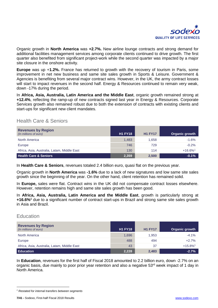

Organic growth in **North America** was **+2.7%.** New airline lounge contracts and strong demand for additional facilities management services among corporate clients continued to drive growth. The first quarter also benefited from significant project-work while the second quarter was impacted by a major site closure in the onshore activity.

**Europe** was up +**1.2%.** France has returned to growth with the recovery of tourism in Paris, some improvement in net new business and same site sales growth in Sports & Leisure. Government & Agencies is benefiting from several major contract wins. However, in the UK, the army contract losses will start to impact revenues in the second half. Energy & Resources continued to remain very weak, down -17% during the period.

In **Africa, Asia, Australia, Latin America and the Middle East**, organic growth remained strong at **+12.4%**, reflecting the ramp-up of new contracts signed last year in Energy & Resources. Corporate Services growth also remained robust due to both the extension of contracts with existing clients and start-ups for significant new client mandates.

### Health Care & Seniors

| <b>Revenues by Region</b><br>(In millions of euro) | <b>H1 FY18</b> | <b>H1 FY17</b> | Organic growth         |
|----------------------------------------------------|----------------|----------------|------------------------|
| North America                                      | 1,483          | 1,658          | $-1.6%$                |
| Europe                                             | 746            | 729            | $-0.2%$                |
| Africa, Asia, Australia, Latam, Middle East        | 130            | 114            | $+16.6\%$ <sup>1</sup> |
| <b>Health Care &amp; Seniors</b>                   | 2,359          | 2,500          | $-0.1%$                |

In **Health Care & Seniors**, revenues totaled 2.4 billion euro, quasi flat on the previous year.

Organic growth in **North America** was **-1.6%** due to a lack of new signatures and low same site sales growth since the beginning of the year. On the other hand, client retention has remained solid.

In **Europe,** sales were flat. Contract wins in the UK did not compensate contract losses elsewhere. However, retention remains high and same site sales growth has been good.

In **Africa, Asia, Australia, Latin America and the Middle East**, growth is particularly strong at **+16.6%1** due to a significant number of contract start-ups in Brazil and strong same site sales growth in Asia and Brazil.

### **Education**

-

| <b>Revenues by Region</b><br>(In millions of euro) | <b>H1 FY18</b> | <b>H1 FY17</b> | Organic growth         |
|----------------------------------------------------|----------------|----------------|------------------------|
| North America                                      | 1.696          | 1.953          | $-4.1%$                |
| Europe                                             | 488            | 494            | $+2.7%$                |
| Africa, Asia, Australia, Latam, Middle East        | 43             | 37             | $+15.8\%$ <sup>1</sup> |
| <b>Education</b>                                   | 2,228          | 2,483          | $-2.7%$                |

In **Education**, revenues for the first half of Fiscal 2018 amounted to 2.2 billion euro, down -2.7% on an organic basis, due mainly to poor prior year retention and also a negative 53<sup>rd</sup> week impact of 1 day in North America.

<span id="page-7-0"></span>*<sup>1</sup> Restated for internal transfers between segments*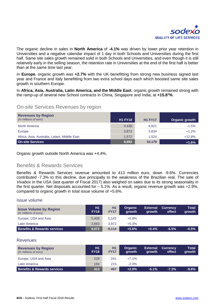

The organic decline in sales in **North America** of **-4.1%** was driven by lower prior year retention in Universities and a negative calendar impact of 1 day in both Schools and Universities during the first half. Same site sales growth remained solid in both Schools and Universities, and even though it is still relatively early in the selling season, the retention rate in Universities at the end of the first half is better than at the same time last year.

In **Europe**, organic growth was **+2.7%** with the UK benefitting from strong new business signed last year and France and Italy benefitting from two extra school days each which boosted same site sales growth in southern Europe.

In **Africa, Asia, Australia, Latin America, and the Middle East**, organic growth remained strong with the ramp-up of several new School contracts in China, Singapore and India, at **+15.81 %**.

### On-site Services Revenues by region

| <b>Revenues by Region</b><br>(In millions of euro) | <b>H1 FY18</b> | <b>H1 FY17</b> | Organic growth |
|----------------------------------------------------|----------------|----------------|----------------|
| North America                                      | 4,438          | 4,821          | $-1.5%$        |
| Europe                                             | 3,872          | 3,834          | $+1.2%$        |
| Africa, Asia, Australia, Latam, Middle East        | 1.572          | 1.524          | $+12.8%$       |
| <b>On-site Services</b>                            | 9,882          | 10,179         | $+1.6%$        |

Organic growth outside North America was +4.4%.

### Benefits & Rewards Services

Benefits & Rewards Services revenue amounted to 413 million euro, down -9.6%. Currencies contributed -7.3% to this decline, due principally to the weakness of the Brazilian real. The sale of *Vivabox* in the USA (last quarter of Fiscal 2017) also weighed on sales due to its strong seasonality in the first quarter. Net disposals accounted for  $-5.1\%$ . As a result, organic revenue growth was  $+2.9\%$ . compared to organic growth in total issue volume of +5.6%.

### Issue volume

| <b>Issue Volume by Region</b><br>(In millions of euro) | H1<br><b>FY18</b> | <b>H1</b><br><b>FY17</b> | <b>Organic</b><br><b>arowth</b> | <b>External</b><br>growth | <b>Currency</b><br>effect | Total<br>growth |
|--------------------------------------------------------|-------------------|--------------------------|---------------------------------|---------------------------|---------------------------|-----------------|
| Europe, USA and Asia                                   | 5.409             | 5.142                    | $+5.9%$                         |                           |                           |                 |
| Latin America                                          | 3.663             | 3.972                    | $+5.3%$                         |                           |                           |                 |
| <b>Benefits &amp; Rewards services</b>                 | 9.072             | 9.114                    | $+5.6%$                         | $+0.4%$                   | $-6.5%$                   | $-0.5%$         |

### **Revenues**

| <b>Revenues by Region</b><br>(In millions of euro) | H1<br><b>FY18</b> | H1<br><b>FY17</b> | <b>Organic</b><br><b>arowth</b> | <b>External</b><br><b>arowth</b> | <b>Currency</b><br>effect | Total<br>growth |
|----------------------------------------------------|-------------------|-------------------|---------------------------------|----------------------------------|---------------------------|-----------------|
| Europe, USA and Asia                               | 229               | 241               | $+7.1%$                         |                                  |                           |                 |
| Latin America                                      | 184               | 215               | $-2.0\%$                        |                                  |                           |                 |
| <b>Benefits &amp; Rewards services</b>             | 413               | 457               | $+2.9%$                         | $-5.1%$                          | $-7.3%$                   | $-9.6\%$        |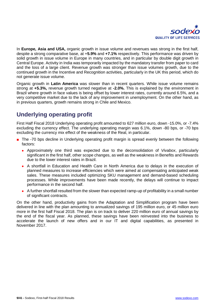

In **Europe, Asia and USA,** organic growth in issue volume and revenues was strong in the first half, despite a strong comparative base, at +**5.9%** and **+7.1%** respectively. This performance was driven by solid growth in issue volume in Europe in many countries, and in particular by double digit growth in Central Europe. Activity in India was temporarily impacted by the mandatory transfer from paper to card and the loss of a large client. Revenue growth was stronger than issue volumes growth, due to the continued growth in the Incentive and Recognition activities, particularly in the UK this period, which do not generate issue volume.

Organic growth in **Latin America** was slower than in recent quarters. While issue volume remains strong at **+5.3%,** revenue growth turned negative at **-2.0%.** This is explained by the environment in Brazil where growth in face values is being offset by lower interest rates, currently around 6.5%, and a very competitive market due to the lack of any improvement in unemployment. On the other hand, as in previous quarters, growth remains strong in Chile and Mexico.

# **Underlying operating profit**

First Half Fiscal 2018 Underlying operating profit amounted to 627 million euro, down -15.0%, or -7.4% excluding the currency effect. The underlying operating margin was 6.1%, down -80 bps, or -70 bps excluding the currency mix effect of the weakness of the Real, in particular.

- The -70 bps decline in Underlying operating profit margin is spread evenly between the following factors:
	- Approximately one third was expected due to the deconsolidation of *Vivabox*, particularly significant in the first half, other scope changes, as well as the weakness in Benefits and Rewards due to the lower interest rates in Brazil.
	- A shortfall in Education and Health Care in North America due to delays in the execution of planned measures to increase efficiencies which were aimed at compensating anticipated weak sales. These measures included optimizing SKU management and demand-based scheduling processes. While improvements have been made recently, the delays will continue to impact performance in the second half.
	- A further shortfall resulted from the slower than expected ramp-up of profitability in a small number of significant contracts.

On the other hand, productivity gains from the Adaptation and Simplification program have been delivered in line with the plan amounting to annualized savings of 195 million euro, or 45 million euro more in the first half Fiscal 2018. The plan is on track to deliver 220 million euro of annual savings by the end of the fiscal year. As planned, these savings have been reinvested into the business to accelerate the launch of new offers and in our IT and digital capabilities, as presented in November 2017.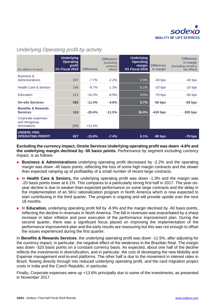

| (in millions of euro)                                | <b>Underlying</b><br><b>Operating</b><br>profit<br><b>H1 Fiscal 2018</b> | <b>Difference</b> | <b>Difference</b><br>(excluding<br>currency<br>effect) | <b>Underlying</b><br><b>Operating</b><br>margin<br><b>H1 Fiscal 2018</b> | <b>Difference</b><br>in margin | <b>Difference</b><br>in margin<br>(excluding currency<br>mix effect) |
|------------------------------------------------------|--------------------------------------------------------------------------|-------------------|--------------------------------------------------------|--------------------------------------------------------------------------|--------------------------------|----------------------------------------------------------------------|
| <b>Business &amp;</b><br>Administrations             | 207                                                                      | $-7.7%$           | $-2.2%$                                                | 3.9%                                                                     | $-40$ bps                      | $-40$ bps                                                            |
| <b>Health Care &amp; Seniors</b>                     | 145                                                                      | $-8.7\%$          | $-1.3%$                                                | 6.1%                                                                     | $-20$ bps                      | $-20$ bps                                                            |
| Education                                            | 211                                                                      | $-16.3%$          | $-8.9%$                                                | 9.5%                                                                     | $-70$ bps                      | $-60$ bps                                                            |
| <b>On-site Services</b>                              | 562                                                                      | $-11.4%$          | $-4.6%$                                                | 5.7%                                                                     | $-50$ bps                      | $-50$ bps                                                            |
| <b>Benefits &amp; Rewards</b><br><b>Services</b>     | 124                                                                      | $-20.4%$          | $-11.5%$                                               | 30.0%                                                                    | $-410$ bps                     | $-320$ bps                                                           |
| Corporate expenses<br>and intragroup<br>eliminations | (59)                                                                     | $+13.4%$          |                                                        |                                                                          |                                |                                                                      |
| <b>UNDERLYING</b><br><b>OPERATING PROFIT</b>         | 627                                                                      | $-15.0%$          | $-7.4%$                                                | 6.1%                                                                     | $-80$ bps                      | $-70$ bps                                                            |

### *Underlying Operating profit by activity*

**Excluding the currency impact, Onsite Services Underlying operating profit was down -4.6% and the underlying margin declined by -50 basis points.** Performance by segment excluding currency impact, is as follows:

- **Business & Administrations** underlying operating profit decreased by -2.2% and the operating margin was down -40 basis points, reflecting the loss of some high margin contracts and the slower than expected ramping up of profitability of a small number of recent large contracts.
- **In Health Care & Seniors,** the underlying operating profit was down -1.3% and the margin was -20 basis points lower at 6.1%. This compares to a particularly strong first half in 2017. The year-onyear decline is due to weaker-than-expected performance on some large contracts and the delay in the implementation of an SKU rationalization program in North America which is now expected to start contributing in the third quarter. The program is ongoing and will provide upside over the next 18 months.
- **In Education,** underlying operating profit fell by -8.9% and the margin declined by -60 basis points, reflecting the decline in revenues in North America. The fall in revenues was exacerbated by a sharp increase in labor inflation and poor execution of the performance improvement plan. During the second quarter, there was a significant focus placed on improving the implementation of the performance improvement plan and the early results are reassuring but this was not enough to offset the issues experienced during the first quarter.

In **Benefits & Rewards Services**, the underlying operating profit was down -11.5%, after adjusting for the currency impact, in particular, the negative effect of the weakness in the Brazilian Real. The margin was down -320 basis points on a constant currency basis. As expected, about one half of the decline reflects the investments in diversification, and in particular, the cost of developing the new Mobility and Expense management end-to-end platforms. The other half is due to the movement in interest rates in Brazil, flowing directly through into reduced underlying operating profit, and the card migration project costs in India and the Czech Republic, in particular.

Finally, Corporate expenses were up +13.6% principally due to some of the investments, as presented in November 2017.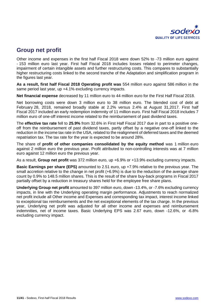

### **Group net profit**

Other income and expenses in the first half Fiscal 2018 were down 52% to -73 million euro against - 153 million euro last year. First half Fiscal 2018 includes losses related to perimeter changes, impairment of certain intangible assets and further restructuring costs. This compares to substantially higher restructuring costs linked to the second tranche of the Adaptation and simplification program in the figures last year.

**As a result, first half Fiscal 2018 Operating profit was** 554 million euro against 586 million in the same period last year, up +4.1% excluding currency impacts.

**Net financial expense** decreased by 11 million euro to 44 million euro for the First Half Fiscal 2018.

Net borrowing costs were down 3 million euro to 38 million euro. The blended cost of debt at February 28, 2018, remained broadly stable at 2.2% versus 2.4% at August 31,2017. First half Fiscal 2017 included an early redemption indemnity of 11 million euro. First half Fiscal 2018 includes 7 million euro of one-off interest income related to the reimbursement of past dividend taxes.

The **effective tax rate** fell to **25.9%** from 32.6% in First Half Fiscal 2017 due in part to a positive oneoff from the reimbursement of past dividend taxes, partly offset by a negative one-off linked to the reduction in the income tax rate in the USA, related to the realignment of deferred taxes and the deemed repatriation tax. The tax rate for the year is expected to be around 28%.

The share of **profit of other companies consolidated by the equity method** was 1 million euro against 2 million euro the previous year. Profit attributed to non-controlling interests was at 7 million euro against 12 million euro the previous year.

As a result, **Group net profit** was 372 million euro, up +6.9% or +13.9% excluding currency impacts.

**Basic Earnings per share (EPS)** amounted to 2.51 euro, up +7.9% relative to the previous year. The small accretion relative to the change in net profit (+6.9%) is due to the reduction of the average share count by 0.9% to 148.5 million shares. This is the result of the share buy-back programs in Fiscal 2017 partially offset by a reduction in treasury shares held for the employee free share plans.

**Underlying Group net profit** amounted to 397 million euro, down -13.4%, or -7.6% excluding currency impacts, in line with the Underlying operating margin performance. Adjustments to reach normalized net profit include all Other income and Expenses and corresponding tax impact, interest income linked to exceptional tax reimbursements and the net exceptional elements of the tax charge. In the previous year, Underlying net profit was adjusted for all other income and expenses and reimbursement indemnities, net of income taxes. Basic Underlying EPS was 2.67 euro, down -12.6%, or -6.8% excluding currency impact.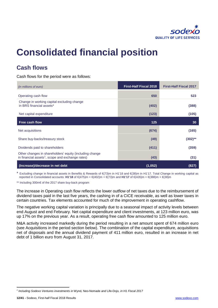

# **Consolidated financial position**

# **Cash flows**

Cash flows for the period were as follows:

| (in millions of euro)                                                                                                   | <b>First-Half Fiscal 2018</b> | <b>First-Half Fiscal 2017</b> |
|-------------------------------------------------------------------------------------------------------------------------|-------------------------------|-------------------------------|
| Operating cash flow                                                                                                     | 650                           | 523                           |
| Change in working capital excluding change<br>in BRS financial assets*                                                  | (402)                         | (388)                         |
| Net capital expenditure                                                                                                 | (123)                         | (105)                         |
| Free cash flow                                                                                                          | 125                           | 30                            |
| Net acquisitions                                                                                                        | (674)                         | (165)                         |
| Share buy-backs/treasury stock                                                                                          | (49)                          | $(302)$ **                    |
| Dividends paid to shareholders                                                                                          | (411)                         | (359)                         |
| Other changes in shareholders' equity (including change<br>in financial assets <sup>1</sup> , scope and exchange rates) | (43)                          | (31)                          |
| (Increase)/decrease in net debt                                                                                         | (1,052)                       | (827)                         |

\* Excluding change in financial assets in Benefits & Rewards of €(73)m in H1'18 and €(38)m in H1'17. Total Change in working capital as reported in Consolidated accounts: **H1'18** of €(475)m = €(402)m + €(73)m and **H1'17** of €(426)m = €(388)m + €(38)m

\*\* Including 300m€ of the 2017 share buy-back program

The increase in Operating cash flow reflects the lower outflow of net taxes due to the reimbursement of dividend taxes paid in the last five years, the cashing in of a CICE receivable, as well as lower taxes in certain countries. Tax elements accounted for much of the improvement in operating cashflow.

The negative working capital variation is principally due to a seasonal impact of activity levels between end August and end February. Net capital expenditure and client investments, at 123 million euro, was up 17% on the previous year. As a result, operating free cash flow amounted to 125 million euro.

M&A activity increased markedly during the period resulting in a net amount spent of 674 million euro (see Acquisitions in the period section below). The combination of the capital expenditure, acquisitions net of disposals and the annual dividend payment of 411 million euro, resulted in an increase in net debt of 1 billion euro from August 31, 2017.

<span id="page-12-0"></span><sup>-</sup>*<sup>1</sup> Including Sodexo Ventures investments in* Wynd*,* Neo-Nomade *and* Life-Dojo*, in H1 Fiscal 2017*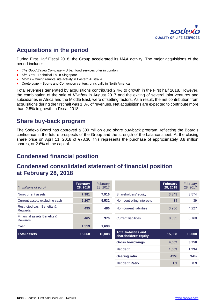

## **Acquisitions in the period**

During First Half Fiscal 2018, the Group accelerated its M&A activity. The major acquisitions of the period include:

- *The Good Eating Company* Urban food services offer in London
- *Kim Yew* Technical FM in Singapore
- *Morris* Mining remote site activity in Eastern Australia
- *Centerplate* Sports and Convention centers, principally in North America

Total revenues generated by acquisitions contributed 2.4% to growth in the First half 2018. However, the combination of the sale of *Vivabox* in August 2017 and the exiting of several joint ventures and subsidiaries in Africa and the Middle East, were offsetting factors. As a result, the net contribution from acquisitions during the first half was 1.3% of revenues. Net acquisitions are expected to contribute more than 2.5% to growth in Fiscal 2018.

### **Share buy-back program**

The Sodexo Board has approved a 300 million euro share buy-back program, reflecting the Board's confidence in the future prospects of the Group and the strength of the balance sheet. At the closing share price on April 11, 2018 of €78.30, this represents the purchase of approximately 3.8 million shares, or 2.6% of the capital.

# **Condensed financial position**

### **Condensed consolidated statement of financial position at February 28, 2018**

| (in millions of euro)                         | <b>February</b><br>28, 2018 | February<br>28, 2017 |                                                      | <b>February</b><br>28, 2018 | February<br>28, 2017 |
|-----------------------------------------------|-----------------------------|----------------------|------------------------------------------------------|-----------------------------|----------------------|
| Non-current assets                            | 7,981                       | 7,916                | Shareholders' equity                                 | 3,343                       | 3,574                |
| Current assets excluding cash                 | 5,207                       | 5,532                | Non-controlling interests                            | 34                          | 39                   |
| Restricted cash Benefits &<br><b>Rewards</b>  | 495                         | 486                  | Non-current liabilities                              | 3,956                       | 4,227                |
| Financial assets Benefits &<br><b>Rewards</b> | 465                         | 376                  | <b>Current liabilities</b>                           | 8,335                       | 8,168                |
| Cash                                          | 1,519                       | 1,698                |                                                      |                             |                      |
| <b>Total assets</b>                           | 15,668                      | 16,008               | <b>Total liabilities and</b><br>shareholders' equity | 15,668                      | 16,008               |
|                                               |                             |                      | <b>Gross borrowings</b>                              | 4,062                       | 3,758                |
|                                               |                             |                      | Net debt                                             | 1,663                       | 1,234                |
|                                               |                             |                      | <b>Gearing ratio</b>                                 | 49%                         | 34%                  |

**Net debt Ratio 1.1 0.9**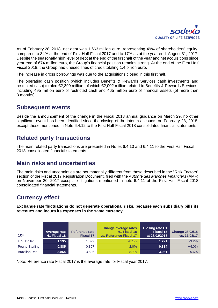

As of February 28, 2018, net debt was 1,663 million euro, representing 49% of shareholders' equity, compared to 34% at the end of First Half Fiscal 2017 and to 17% as at the year end, August 31, 2017. Despite the seasonally high level of debt at the end of the first half of the year and net acquisitions since year end of 674 million euro, the Group's financial position remains strong. At the end of the First Half Fiscal 2018, the Group had unused lines of credit totaling 1.4 billion euro.

The increase in gross borrowings was due to the acquisitions closed in this first half.

The operating cash position (which includes Benefits & Rewards Services cash investments and restricted cash) totaled €2,399 million, of which €2,002 million related to Benefits & Rewards Services, including 495 million euro of restricted cash and 465 million euro of financial assets (of more than 3 months).

### **Subsequent events**

Beside the announcement of the change in the Fiscal 2018 annual guidance on March 29, no other significant event has been identified since the closing of the interim accounts on February 28, 2018, except those mentioned in Note 6.4.12 to the First Half Fiscal 2018 consolidated financial statements.

### **Related party transactions**

The main related party transactions are presented in Notes 6.4.10 and 6.4.11 to the First Half Fiscal 2018 consolidated financial statements.

### **Main risks and uncertainties**

The main risks and uncertainties are not materially different from those described in the "Risk Factors" section of the Fiscal 2017 Registration Document, filed with the *Autorité des Marchés Financiers* (AMF) on November 20, 2017 except for litigations mentioned in note 6.4.11 of the First Half Fiscal 2018 consolidated financial statements.

# **Currency effect**

**Exchange rate fluctuations do not generate operational risks, because each subsidiary bills its revenues and incurs its expenses in the same currency.**

| 1€=                   | Average rate<br>H1 Fiscal 18 | <b>Reference rate</b><br><b>Fiscal 17</b> | <b>Change average rates</b><br>H1 Fiscal 18<br><b>vs. Reference Fiscal 17</b> | <b>Closing rate H1</b><br>Fiscal 18<br>at 28/02/2018 | <b>Change 28/02/18</b><br>vs. 31/08/17 |
|-----------------------|------------------------------|-------------------------------------------|-------------------------------------------------------------------------------|------------------------------------------------------|----------------------------------------|
| U.S. Dollar           | 1.195                        | 1.099                                     | $-8.1\%$                                                                      | 1.221                                                | $-3.2%$                                |
| <b>Pound Sterling</b> | 0.885                        | 0.867                                     | $-2.0\%$                                                                      | 0.884                                                | $+4.0%$                                |
| <b>Brazilian Real</b> | 3.864                        | 3.526                                     | $-8.7\%$                                                                      | 3.961                                                | $-5.6%$                                |

Note: Reference rate Fiscal 2017 is the average rate for Fiscal year 2017.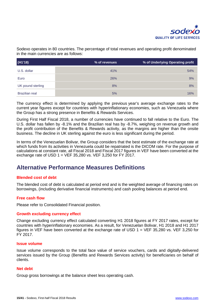

Sodexo operates in 80 countries. The percentage of total revenues and operating profit denominated in the main currencies are as follows:

| (H1'18)               | % of revenues | % of Underlying Operating profit |
|-----------------------|---------------|----------------------------------|
| U.S. dollar           | 41%           | 54%                              |
| Euro                  | 26%           | 9%                               |
| UK pound sterling     | 8%            | 8%                               |
| <b>Brazilian real</b> | 5%            | 16%                              |

The currency effect is determined by applying the previous year's average exchange rates to the current year figures except for countries with hyperinflationary economies, such as Venezuela where the Group has a strong presence in Benefits & Rewards Services.

During First Half Fiscal 2018, a number of currencies have continued to fall relative to the Euro. The U.S. dollar has fallen by -8.1% and the Brazilian real has by -8.7%, weighing on revenue growth and the profit contribution of the Benefits & Rewards activity, as the margins are higher than the onsite business. The decline in UK sterling against the euro is less significant during the period.

In terms of the Venezuelan Bolivar, the Group considers that the best estimate of the exchange rate at which funds from its activities in Venezuela could be repatriated is the DICOM rate. For the purpose of calculations at constant rate, all Fiscal 2018 and Fiscal 2017 figures in VEF have been converted at the exchange rate of USD  $1 = VEF 35,280$  vs. VEF 3,250 for FY 2017.

### **Alternative Performance Measures Definitions**

### **Blended cost of debt**

The blended cost of debt is calculated at period end and is the weighted average of financing rates on borrowings, (including derivative financial instruments) and cash pooling balances at period end.

### **Free cash flow**

Please refer to Consolidated Financial position.

### **Growth excluding currency effect**

Change excluding currency effect calculated converting H1 2018 figures at FY 2017 rates, except for countries with hyperinflationary economies. As a result, for Venezuelan Bolivar, H1 2018 and H1 2017 figures in VEF have been converted at the exchange rate of USD 1 = VEF 35,280 vs. VEF 3,250 for FY 2017.

#### **Issue volume**

Issue volume corresponds to the total face value of service vouchers, cards and digitally-delivered services issued by the Group (Benefits and Rewards Services activity) for beneficiaries on behalf of clients.

### **Net debt**

Group gross borrowings at the balance sheet less operating cash.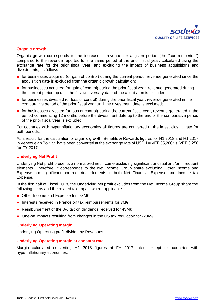

### **Organic growth**

Organic growth corresponds to the increase in revenue for a given period (the "current period") compared to the revenue reported for the same period of the prior fiscal year, calculated using the exchange rate for the prior fiscal year; and excluding the impact of business acquisitions and divestments, as follows:

- **for businesses acquired (or gain of control) during the current period, revenue generated since the** acquisition date is excluded from the organic growth calculation;
- **for businesses acquired (or gain of control) during the prior fiscal year, revenue generated during** the current period up until the first anniversary date of the acquisition is excluded;
- **for businesses divested (or loss of control) during the prior fiscal year, revenue generated in the** comparative period of the prior fiscal year until the divestment date is excluded;
- **for businesses divested (or loss of control) during the current fiscal year, revenue generated in the** period commencing 12 months before the divestment date up to the end of the comparative period of the prior fiscal year is excluded.

For countries with hyperinflationary economies all figures are converted at the latest closing rate for both periods.

As a result, for the calculation of organic growth, Benefits & Rewards figures for H1 2018 and H1 2017 in Venezuelan Bolivar, have been converted at the exchange rate of USD 1 = VEF 35,280 vs. VEF 3,250 for FY 2017.

### **Underlying Net Profit**

Underlying Net profit presents a normalized net income excluding significant unusual and/or infrequent elements. Therefore, it corresponds to the Net Income Group share excluding Other Income and Expense and significant non-recurring elements in both Net Financial Expense and Income tax Expense.

In the first half of Fiscal 2018, the Underlying net profit excludes from the Net Income Group share the following items and the related tax impact where applicable:

- Other Income and Expense for -73M€
- Interests received in France on tax reimbursements for 7M€
- Reimbursement of the 3% tax on dividends received for 43M€
- One-off impacts resulting from changes in the US tax regulation for -23M€.

### **Underlying Operating margin**

Underlying Operating profit divided by Revenues.

#### **Underlying Operating margin at constant rate**

Margin calculated converting H1 2018 figures at FY 2017 rates, except for countries with hyperinflationary economies.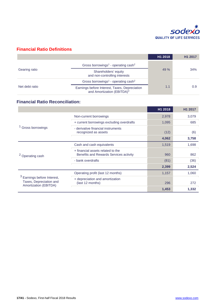

### **Financial Ratio Definitions**

|                |                                                                                         | H1 2018 | H <sub>1</sub> 2017 |
|----------------|-----------------------------------------------------------------------------------------|---------|---------------------|
|                | Gross borrowings <sup>1</sup> - operating cash <sup>2</sup>                             |         | 34%                 |
| Gearing ratio  | Shareholders' equity<br>and non-controlling interests                                   | 49 %    |                     |
| Net debt ratio | Gross borrowings <sup>1</sup> - operating cash <sup>2</sup>                             |         |                     |
|                | Earnings before Interest, Taxes, Depreciation<br>and Amortization (EBITDA) <sup>3</sup> | 1.1     | 0.9                 |

### **Financial Ratio Reconciliation:**

|                                                                                   |                                                                             | H1 2018 | H1 2017 |
|-----------------------------------------------------------------------------------|-----------------------------------------------------------------------------|---------|---------|
|                                                                                   | Non-current borrowings                                                      | 2,978   | 3,079   |
| <sup>1</sup> Gross borrowings                                                     | + current borrowings excluding overdrafts                                   | 1,095   | 685     |
|                                                                                   | - derivative financial instruments<br>recognized as assets                  | (12)    | (6)     |
|                                                                                   |                                                                             | 4,062   | 3,758   |
| <sup>2</sup> Operating cash                                                       | Cash and cash equivalents                                                   | 1,519   | 1,698   |
|                                                                                   | + financial assets related to the<br>Benefits and Rewards Services activity | 960     | 862     |
|                                                                                   | - bank overdrafts                                                           | (81)    | (36)    |
|                                                                                   |                                                                             | 2,399   | 2,524   |
| $3$ Earnings before Interest,<br>Taxes, Depreciation and<br>Amortization (EBITDA) | Operating profit (last 12 months)                                           | 1,157   | 1,060   |
|                                                                                   | + depreciation and amortization<br>(last 12 months)                         | 296     | 272     |
|                                                                                   |                                                                             | 1,453   | 1,332   |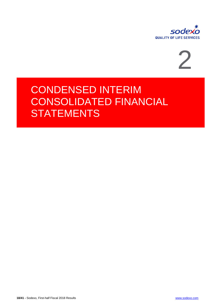



# CONDENSED INTERIM CONSOLIDATED FINANCIAL **STATEMENTS**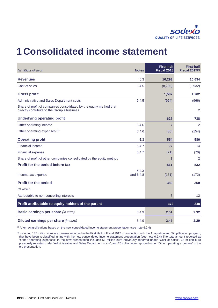

# **1Consolidated income statement**

| (in millions of euro)                                                                                              | <b>Notes</b>       | <b>First-half</b><br>Fiscal 2018 | <b>First-half</b><br><b>Fiscal 2017(1)</b> |
|--------------------------------------------------------------------------------------------------------------------|--------------------|----------------------------------|--------------------------------------------|
| <b>Revenues</b>                                                                                                    | 6.3                | 10,293                           | 10,634                                     |
| Cost of sales                                                                                                      | 6.4.5              | (8,706)                          | (8,932)                                    |
| <b>Gross profit</b>                                                                                                |                    | 1,587                            | 1,702                                      |
| Administrative and Sales Department costs                                                                          | 6.4.5              | (964)                            | (966)                                      |
| Share of profit of companies consolidated by the equity method that<br>directly contribute to the Group's business |                    | 5                                | $\overline{2}$                             |
| <b>Underlying operating profit</b>                                                                                 |                    | 627                              | 738                                        |
| Other operating income                                                                                             | 6.4.6              | $\overline{7}$                   | 2                                          |
| Other operating expenses (2)                                                                                       | 6.4.6              | (80)                             | (154)                                      |
| <b>Operating profit</b>                                                                                            | 6.3                | 554                              | 586                                        |
| Financial income                                                                                                   | 6.4.7              | 27                               | 14                                         |
| <b>Financial expense</b>                                                                                           | 6.4.7              | (71)                             | (70)                                       |
| Share of profit of other companies consolidated by the equity method                                               |                    | $\overline{1}$                   | $\overline{2}$                             |
| Profit for the period before tax                                                                                   |                    | 511                              | 532                                        |
| Income tax expense                                                                                                 | 6.2.3<br>and 6.4.8 | (131)                            | (172)                                      |
| Profit for the period                                                                                              |                    | 380                              | 360                                        |
| Of which:                                                                                                          |                    |                                  |                                            |
| Attributable to non-controlling interests                                                                          |                    | $\overline{7}$                   | 12                                         |
| Profit attributable to equity holders of the parent                                                                |                    | 372                              | 348                                        |
| Basic earnings per share (in euro)                                                                                 | 6.4.9              | 2.51                             | 2.32                                       |
| Diluted earnings per share (in euro)                                                                               | 6.4.9              | 2.47                             | 2.29                                       |

(1) After reclassifications based on the new consolidated income statement presentation (see note 6.2.4)

<sup>(2)</sup> Including 137 million euro in expenses recorded in the First Half of Fiscal 2017 in connection with the Adaptation and Simplification program, that have been reclassified in line with the new consolidated income statement presentation (see note 6.2.4) The total amount reported as "Other operating expenses" in the new presentation includes 51 million euro previously reported under "Cost of sales", 65 million euro previously reported under "Administrative and Sales Department costs", and 20 million euro reported under "Other operating expenses" in the old presentation.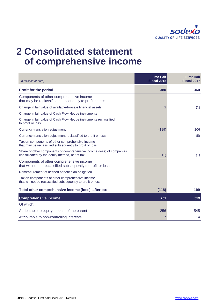

# **2 Consolidated statement of comprehensive income**

| (in millions of euro)                                                                                                  | <b>First-Half</b><br>Fiscal 2018 | <b>First-Half</b><br><b>Fiscal 2017</b> |
|------------------------------------------------------------------------------------------------------------------------|----------------------------------|-----------------------------------------|
| <b>Profit for the period</b>                                                                                           | 380                              | 360                                     |
| Components of other comprehensive income<br>that may be reclassified subsequently to profit or loss                    |                                  |                                         |
| Change in fair value of available-for-sale financial assets                                                            | $\overline{2}$                   | (1)                                     |
| Change in fair value of Cash Flow Hedge instruments                                                                    |                                  |                                         |
| Change in fair value of Cash Flow Hedge instruments reclassified<br>to profit or loss                                  |                                  |                                         |
| Currency translation adjustment                                                                                        | (119)                            | 206                                     |
| Currency translation adjustment reclassified to profit or loss                                                         |                                  | (5)                                     |
| Tax on components of other comprehensive income<br>that may be reclassified subsequently to profit or loss             |                                  |                                         |
| Share of other components of comprehensive income (loss) of companies<br>consolidated by the equity method, net of tax | (1)                              | (1)                                     |
| Components of other comprehensive income<br>that will not be reclassified subsequently to profit or loss               |                                  |                                         |
| Remeasurement of defined benefit plan obligation                                                                       |                                  |                                         |
| Tax on components of other comprehensive income<br>that will not be reclassified subsequently to profit or loss        |                                  |                                         |
| Total other comprehensive income (loss), after tax                                                                     | (118)                            | 199                                     |
| <b>Comprehensive income</b>                                                                                            | 262                              | 559                                     |
| Of which:                                                                                                              |                                  |                                         |
| Attributable to equity holders of the parent                                                                           | 256                              | 545                                     |
| Attributable to non-controlling interests                                                                              | 7                                | 14                                      |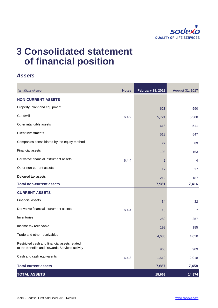

# **3 Consolidated statement of financial position**

### *Assets*

| (in millions of euro)                                                                         | <b>Notes</b> | <b>February 28, 2018</b> | <b>August 31, 2017</b> |
|-----------------------------------------------------------------------------------------------|--------------|--------------------------|------------------------|
| <b>NON-CURRENT ASSETS</b>                                                                     |              |                          |                        |
| Property, plant and equipment                                                                 |              | 623                      | 590                    |
| Goodwill                                                                                      | 6.4.2        | 5,721                    | 5,308                  |
| Other intangible assets                                                                       |              | 618                      | 511                    |
| <b>Client investments</b>                                                                     |              | 518                      | 547                    |
| Companies consolidated by the equity method                                                   |              | 77                       | 89                     |
| <b>Financial assets</b>                                                                       |              | 193                      | 163                    |
| Derivative financial instrument assets                                                        | 6.4.4        | $\overline{2}$           | 4                      |
| Other non-current assets                                                                      |              | 17                       | 17                     |
| Deferred tax assets                                                                           |              | 212                      | 187                    |
| <b>Total non-current assets</b>                                                               |              | 7,981                    | 7,416                  |
| <b>CURRENT ASSETS</b>                                                                         |              |                          |                        |
| <b>Financial assets</b>                                                                       |              | 34                       | 32                     |
| Derivative financial instrument assets                                                        | 6.4.4        | 10                       | $\overline{7}$         |
| Inventories                                                                                   |              | 280                      | 257                    |
| Income tax receivable                                                                         |              | 198                      | 185                    |
| Trade and other receivables                                                                   |              | 4,686                    | 4,050                  |
| Restricted cash and financial assets related<br>to the Benefits and Rewards Services activity |              | 960                      | 909                    |
| Cash and cash equivalents                                                                     | 6.4.3        | 1,519                    | 2,018                  |
| <b>Total current assets</b>                                                                   |              | 7,687                    | 7,458                  |
| <b>TOTAL ASSETS</b>                                                                           |              | 15,668                   | 14,874                 |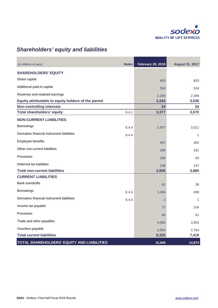

# *Shareholders' equity and liabilities*

| (in millions of euro)                               | <b>Notes</b> | <b>February 28, 2018</b> | <b>August 31, 2017</b> |
|-----------------------------------------------------|--------------|--------------------------|------------------------|
| <b>SHAREHOLDERS' EQUITY</b>                         |              |                          |                        |
| Share capital                                       |              | 603                      | 603                    |
| Additional paid-in capital                          |              | 534                      | 534                    |
| Reserves and retained earnings                      |              | 2,205                    | 2,399                  |
| Equity attributable to equity holders of the parent |              | 3,343                    | 3,536                  |
| <b>Non-controlling interests</b>                    |              | 34                       | 34                     |
| <b>Total shareholders' equity</b>                   | 6.4.1        | 3,377                    | 3,570                  |
| <b>NON-CURRENT LIABILITIES</b>                      |              |                          |                        |
| Borrowings                                          | 6.4.4        | 2,977                    | 3,011                  |
| Derivative financial instrument liabilities         | 6.4.4        |                          | 1                      |
| Employee benefits                                   |              | 457                      | 462                    |
| Other non-current liabilities                       |              | 180                      | 181                    |
| Provisions                                          |              | 106                      | 93                     |
| Deferred tax liabilities                            |              | 236                      | 137                    |
| <b>Total non-current liabilities</b>                |              | 3,956                    | 3,885                  |
| <b>CURRENT LIABILITIES</b>                          |              |                          |                        |
| <b>Bank overdrafts</b>                              |              | 81                       | 38                     |
| Borrowings                                          | 6.4.4        | 1,094                    | 498                    |
| Derivative financial instrument liabilities         | 6.4.4        | $\overline{2}$           | 1                      |
| Income tax payable                                  |              | 77                       | 104                    |
| Provisions                                          |              | 64                       | 61                     |
| Trade and other payables                            |              | 4,063                    | 3,953                  |
| Vouchers payable                                    |              | 2,954                    | 2,764                  |
| <b>Total current liabilities</b>                    |              | 8,335                    | 7,419                  |
| TOTAL SHAREHOLDERS' EQUITY AND LIABILITIES          |              | 15,668                   | 14,874                 |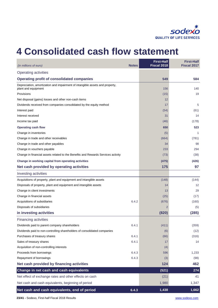

# **4 Consolidated cash flow statement**

| (in millions of euro)                                                                               | <b>Notes</b> | <b>First-Half</b><br>Fiscal 2018 | <b>First-Half</b><br><b>Fiscal 2017</b> |
|-----------------------------------------------------------------------------------------------------|--------------|----------------------------------|-----------------------------------------|
| <b>Operating activities</b>                                                                         |              |                                  |                                         |
| <b>Operating profit of consolidated companies</b>                                                   |              | 549                              | 584                                     |
| Depreciation, amortization and impairment of intangible assets and property,<br>plant and equipment |              | 156                              | 140                                     |
| <b>Provisions</b>                                                                                   |              | (15)                             | 19                                      |
| Net disposal (gains) losses and other non-cash items                                                |              | 12                               |                                         |
| Dividends received from companies consolidated by the equity method                                 |              | 17                               | 5                                       |
| Interest paid                                                                                       |              | (54)                             | (61)                                    |
| Interest received                                                                                   |              | 31                               | 14                                      |
| Income tax paid                                                                                     |              | (46)                             | (178)                                   |
| <b>Operating cash flow</b>                                                                          |              | 650                              | 523                                     |
| Change in inventories                                                                               |              | (5)                              | $\mathbf{1}$                            |
| Change in trade and other receivables                                                               |              | (664)                            | (781)                                   |
| Change in trade and other payables                                                                  |              | 34                               | 98                                      |
| Change in vouchers payable                                                                          |              | 233                              | 294                                     |
| Change in financial assets related to the Benefits and Rewards Services activity                    |              | (73)                             | (38)                                    |
| Change in working capital from operating activities                                                 |              | (475)                            | (426)                                   |
| Net cash provided by operating activities                                                           |              | 175                              | 97                                      |
| Investing activities                                                                                |              |                                  |                                         |
| Acquisitions of property, plant and equipment and intangible assets                                 |              | (148)                            | (144)                                   |
| Disposals of property, plant and equipment and intangible assets                                    |              | 14                               | 12                                      |
| Change in client investments                                                                        |              | 13                               | 29                                      |
| Change in financial assets                                                                          |              | (25)                             | (17)                                    |
| Acquisitions of subsidiaries                                                                        | 6.4.2        | (676)                            | (160)                                   |
| Disposals of subsidiaries                                                                           |              | $\overline{2}$                   | (5)                                     |
| in investing activities                                                                             |              | (820)                            | (285)                                   |
| <b>Financing activities</b>                                                                         |              |                                  |                                         |
| Dividends paid to parent company shareholders                                                       | 6.4.1        | (411)                            | (359)                                   |
| Dividends paid to non-controlling shareholders of consolidated companies                            |              | (6)                              | (12)                                    |
| Purchases of treasury shares                                                                        | 6.4.1        | (66)                             | (316)                                   |
| Sales of treasury shares                                                                            | 6.4.1        | 17                               | 14                                      |
| Acquisition of non-controlling interests                                                            |              | (4)                              |                                         |
| Proceeds from borrowings                                                                            | 6.4.3        | 596                              | 1,233                                   |
| Repayment of borrowings                                                                             | 6.4.3        | (3)                              | (98)                                    |
| Net cash provided by financing activities                                                           |              | 124                              | 462                                     |
| Change in net cash and cash equivalents                                                             |              | (521)                            | 274                                     |
| Net effect of exchange rates and other effects on cash                                              |              | (21)                             | 41                                      |
| Net cash and cash equivalents, beginning of period                                                  |              | 1,980                            | 1,347                                   |
| Net cash and cash equivalents, end of period                                                        | 6.4.3        | 1,438                            | 1,662                                   |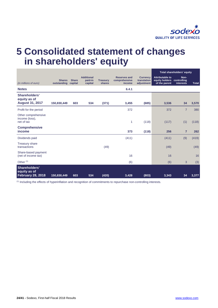

# **5 Consolidated statement of changes in shareholders' equity**

|                                                           |                              |                         |                                         |                           |                                                |                                              | Total shareholders' equity                                |                                  |              |
|-----------------------------------------------------------|------------------------------|-------------------------|-----------------------------------------|---------------------------|------------------------------------------------|----------------------------------------------|-----------------------------------------------------------|----------------------------------|--------------|
| (in millions of euro)                                     | <b>Shares</b><br>outstanding | <b>Share</b><br>capital | <b>Additional</b><br>paid-in<br>capital | <b>Treasury</b><br>shares | <b>Reserves and</b><br>comprehensive<br>income | <b>Currency</b><br>translation<br>adjustment | <b>Attributable to</b><br>equity holders<br>of the parent | Non-<br>controlling<br>interests | <b>Total</b> |
| <b>Notes</b>                                              |                              |                         |                                         |                           | 6.4.1                                          |                                              |                                                           |                                  |              |
| Shareholders'<br>equity as of                             |                              |                         |                                         |                           |                                                |                                              |                                                           |                                  |              |
| <b>August 31, 2017</b>                                    | 150,830,449                  | 603                     | 534                                     | (371)                     | 3,455                                          | (685)                                        | 3,536                                                     | 34                               | 3,570        |
| Profit for the period                                     |                              |                         |                                         |                           | 372                                            |                                              | 372                                                       | $\overline{7}$                   | 380          |
| Other comprehensive<br>income (loss),<br>net of tax       |                              |                         |                                         |                           | 1                                              | (118)                                        | (117)                                                     | (1)                              | (118)        |
| <b>Comprehensive</b><br>income                            |                              |                         |                                         |                           | 373                                            | (118)                                        | 256                                                       | $\overline{7}$                   | 262          |
| Dividends paid                                            |                              |                         |                                         |                           | (411)                                          |                                              | (411)                                                     | (9)                              | (419)        |
| <b>Treasury share</b><br>transactions                     |                              |                         |                                         | (49)                      |                                                |                                              | (49)                                                      |                                  | (49)         |
| Share-based payment<br>(net of income tax)                |                              |                         |                                         |                           | 16                                             |                                              | 16                                                        |                                  | 16           |
| Other <sup>(1)</sup>                                      |                              |                         |                                         |                           | (6)                                            |                                              | (6)                                                       | 3                                | (3)          |
| Shareholders'<br>equity as of<br><b>February 28, 2018</b> | 150,830,449                  | 603                     | 534                                     | (420)                     | 3,428                                          | (803)                                        | 3,343                                                     | 34                               | 3,377        |

(1) Including the effects of hyperinflation and recognition of commitments to repurchase non-controlling interests.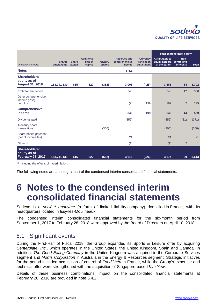

|                                                           |                              |                         |                                         |                           |                                                |                                              | Total shareholders' equity                                            |                   |              |
|-----------------------------------------------------------|------------------------------|-------------------------|-----------------------------------------|---------------------------|------------------------------------------------|----------------------------------------------|-----------------------------------------------------------------------|-------------------|--------------|
| (in millions of euro)                                     | <b>Shares</b><br>outstanding | <b>Share</b><br>capital | <b>Additional</b><br>paid-in<br>capital | <b>Treasury</b><br>shares | <b>Reserves and</b><br>comprehensive<br>income | <b>Currency</b><br>translation<br>adjustment | <b>Attributable to</b><br>equity holders controlling<br>of the parent | Non-<br>interests | <b>Total</b> |
| <b>Notes</b>                                              |                              |                         |                                         |                           | 6.4.1                                          |                                              |                                                                       |                   |              |
| Shareholders'<br>equity as of                             |                              |                         |                                         |                           |                                                |                                              |                                                                       |                   |              |
| <b>August 31, 2016</b>                                    | 153,741,139                  | 615                     | 822                                     | (352)                     | 3,008                                          | (425)                                        | 3,668                                                                 | 34                | 3,702        |
| Profit for the period                                     |                              |                         |                                         |                           | 348                                            |                                              | 348                                                                   | 12                | 360          |
| Other comprehensive<br>income (loss),<br>net of tax       |                              |                         |                                         |                           | (2)                                            | 199                                          | 197                                                                   | $\overline{2}$    | 199          |
| <b>Comprehensive</b><br>income                            |                              |                         |                                         |                           | 346                                            | 199                                          | 545                                                                   | 14                | 559          |
| Dividends paid                                            |                              |                         |                                         |                           | (359)                                          |                                              | (359)                                                                 | (11)              | (371)        |
| <b>Treasury share</b><br>transactions                     |                              |                         |                                         | (300)                     |                                                |                                              | (300)                                                                 |                   | (300)        |
| Share-based payment<br>(net of income tax)                |                              |                         |                                         |                           | 21                                             |                                              | 21                                                                    |                   | 21           |
| Other <sup>(1)</sup>                                      |                              |                         |                                         |                           | (1)                                            |                                              | (1)                                                                   | 2                 | $\mathbf{1}$ |
| Shareholders'<br>equity as of<br><b>February 28, 2017</b> | 153,741,139                  | 615                     | 822                                     | (652)                     | 3,015                                          | (226)                                        | 3,574                                                                 | 39                | 3,613        |
|                                                           |                              |                         |                                         |                           |                                                |                                              |                                                                       |                   |              |

(1) Including the effects of hyperinflation.

The following notes are an integral part of the condensed interim consolidated financial statements.

# **6 Notes to the condensed interim consolidated financial statements**

Sodexo is a *société anonyme* (a form of limited liability company) domiciled in France, with its headquarters located in Issy-les-Moulineaux.

The condensed interim consolidated financial statements for the six-month period from September 1, 2017 to February 28, 2018 were approved by the Board of Directors on April 10, 2018.

### 6.1 Significant events

During the First-Half of Fiscal 2018, the Group expanded its Sports & Leisure offer by acquiring *Centerplate, Inc.,* which operates in the United States, the United Kingdom, Spain and Canada. In addition, *The Good Eating Company* in the United Kingdom was acquired in the Corporate Services segment and *Morris Corporation* in Australia in the Energy & Resources segment. Strategic initiatives for the period included acquisition of control of *FoodChéri* in France, while the Group's expertise and technical offer were strengthened with the acquisition of Singapore-based *Kim Yew*.

Details of these business combinations' impact on the consolidated financial statements at February 28, 2018 are provided in note 6.4.2.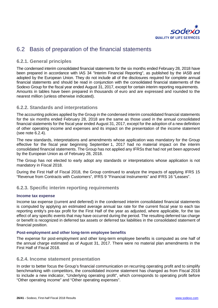

# 6.2 Basis of preparation of the financial statements

### **6.2.1. General principles**

The condensed interim consolidated financial statements for the six months ended February 28, 2018 have been prepared in accordance with IAS 34 "Interim Financial Reporting", as published by the IASB and adopted by the European Union. They do not include all of the disclosures required for complete annual financial statements and should be read in conjunction with the consolidated financial statements of the Sodexo Group for the fiscal year ended August 31, 2017, except for certain interim reporting requirements. Amounts in tables have been prepared in thousands of euro and are expressed and rounded to the nearest million (unless otherwise indicated).

### **6.2.2. Standards and interpretations**

The accounting policies applied by the Group in the condensed interim consolidated financial statements for the six months ended February 28, 2018 are the same as those used in the annual consolidated financial statements for the fiscal year ended August 31, 2017, except for the adoption of a new definition of other operating income and expenses and its impact on the presentation of the income statement (see note 6.2.4).

The new standards, interpretations and amendments whose application was mandatory for the Group effective for the fiscal year beginning September 1, 2017 had no material impact on the interim consolidated financial statements. The Group has not applied any IFRSs that had not yet been approved by the European Union as of February 28, 2018.

The Group has not elected to early adopt any standards or interpretations whose application is not mandatory in Fiscal 2018.

During the First Half of Fiscal 2018, the Group continued to analyze the impacts of applying IFRS 15 "Revenue from Contracts with Customers", IFRS 9 "Financial Instruments" and IFRS 16 "Leases".

### **6.2.3. Specific interim reporting requirements**

### **Income tax expense**

Income tax expense (current and deferred) in the condensed interim consolidated financial statements is computed by applying an estimated average annual tax rate for the current fiscal year to each tax reporting entity's pre-tax profit for the First Half of the year as adjusted, where applicable, for the tax effect of any specific events that may have occurred during the period. The resulting deferred tax charge or benefit is recognized in deferred tax assets or deferred tax liabilities in the consolidated statement of financial position.

### **Post-employment and other long-term employee benefits**

The expense for post-employment and other long-term employee benefits is computed as one half of the annual charge estimated as of August 31, 2017. There were no material plan amendments in the First Half of Fiscal 2018.

### **6.2.4. Income statement presentation**

In order to better focus the Group's financial communication on recurring operating profit and to simplify benchmarking with competitors, the consolidated income statement has changed as from Fiscal 2018 to include a new indicator, "Underlying operating profit", which corresponds to operating profit before "Other operating income" and "Other operating expenses".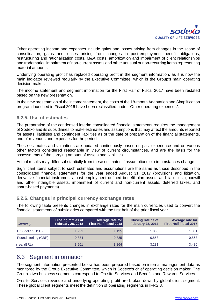

Other operating income and expenses include gains and losses arising from changes in the scope of consolidation, gains and losses arising from changes in post-employment benefit obligations, restructuring and rationalization costs, M&A costs, amortization and impairment of client relationships and trademarks, impairment of non-current assets and other unusual or non‑recurring items representing material amounts.

Underlying operating profit has replaced operating profit in the segment information, as it is now the main indicator reviewed regularly by the Executive Committee, which is the Group's main operating decision-maker.

The income statement and segment information for the First Half of Fiscal 2017 have been restated based on the new presentation.

In the new presentation of the income statement, the costs of the 18-month Adaptation and Simplification program launched in Fiscal 2016 have been reclassified under "Other operating expenses".

### **6.2.5. Use of estimates**

The preparation of the condensed interim consolidated financial statements requires the management of Sodexo and its subsidiaries to make estimates and assumptions that may affect the amounts reported for assets, liabilities and contingent liabilities as of the date of preparation of the financial statements, and of revenues and expenses for the period.

These estimates and valuations are updated continuously based on past experience and on various other factors considered reasonable in view of current circumstances, and are the basis for the assessments of the carrying amount of assets and liabilities.

Actual results may differ substantially from these estimates if assumptions or circumstances change.

Significant items subject to such estimates and assumptions are the same as those described in the consolidated financial statements for the year ended August 31, 2017 (provisions and litigation, derivative financial instruments, post-employment defined benefit plan assets and liabilities, goodwill and other intangible assets, impairment of current and non-current assets, deferred taxes, and share-based payments).

### **6.2.6. Changes in principal currency exchange rates**

The following table presents changes in exchange rates for the main currencies used to convert the financial statements of subsidiaries compared with the first half of the prior fiscal year.

| Currency             | <b>Closing rate as of</b><br><b>February 28, 2018</b> | Average rate for<br><b>First-Half Fiscal 2018</b> | <b>Closing rate as of</b><br><b>February 28, 2017</b> | Average rate for<br><b>First-Half Fiscal 2017</b> |
|----------------------|-------------------------------------------------------|---------------------------------------------------|-------------------------------------------------------|---------------------------------------------------|
| U.S. dollar (USD)    | 1.221                                                 | 1.195                                             | 1.060                                                 | 1.081                                             |
| Pound sterling (GBP) | 0.884                                                 | 0.885                                             | 0.853                                                 | 0.863                                             |
| real (BRL)           | 3.961                                                 | 3.864                                             | 3.281                                                 | 3.486                                             |

### 6.3 Segment information

The segment information presented below has been prepared based on internal management data as monitored by the Group Executive Committee, which is Sodexo's chief operating decision maker. The Group's two business segments correspond to On-site Services and Benefits and Rewards Services.

On-site Services revenue and underlying operating profit are broken down by global client segment. These global client segments meet the definition of operating segments in IFRS 8.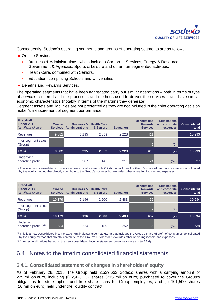

Consequently, Sodexo's operating segments and groups of operating segments are as follows:

- On-site Services:
	- Business & Administrations, which includes Corporate Services, Energy & Resources, Government & Agencies, Sports & Leisure and other non-segmented activities,
	- Health Care, combined with Seniors,
	- Education, comprising Schools and Universities;
- **Benefits and Rewards Services.**

The operating segments that have been aggregated carry out similar operations – both in terms of type of services rendered and the processes and methods used to deliver the services – and have similar economic characteristics (notably in terms of the margins they generate).

Segment assets and liabilities are not presented as they are not included in the chief operating decision maker's measurement of segment performance.

| <b>First-Half</b><br>Fiscal 2018<br>(in millions of euro) | <b>On-site</b><br><b>Services</b> | <b>Business &amp;</b><br><b>Administrations</b> | <b>Health Care</b><br>& Seniors | <b>Education</b> | <b>Benefits and</b><br><b>Rewards</b><br><b>Services</b> | <b>Eliminations</b><br>and corporate<br>expenses | <b>Consolidated</b><br>total |
|-----------------------------------------------------------|-----------------------------------|-------------------------------------------------|---------------------------------|------------------|----------------------------------------------------------|--------------------------------------------------|------------------------------|
| Revenues                                                  | 9,882                             | 5.295                                           | 2,359                           | 2,228            | 411                                                      |                                                  | 10,293                       |
| Inter-segment sales<br>(Group)                            |                                   |                                                 |                                 |                  | $\Omega$                                                 | (2)                                              |                              |
| <b>TOTAL</b>                                              | 9,882                             | 5,295                                           | 2,359                           | 2,228            | 413                                                      | (2)                                              | 10,293                       |
| Underlying<br>operating profit <sup>(1)</sup>             | 562                               | 207                                             | 145                             | 211              | 124                                                      | (59)                                             | 627                          |

 $<sup>(1)</sup>$  This is a new consolidated income statement indicator (see note 6.2.4) that includes the Group's share of profit of companies consolidated</sup> by the equity method that directly contribute to the Group's business but excludes other operating income and expenses.

| <b>First-Half</b><br><b>Fiscal 2017</b><br>(in millions of euro) | On-site<br><b>Services</b> | <b>Business &amp;</b><br><b>Administrations</b> | <b>Health Care</b><br>& Seniors | <b>Education</b> | <b>Benefits and</b><br><b>Rewards</b><br><b>Services</b> | <b>Eliminations</b><br>and corporate<br>expenses | <b>Consolidated</b><br>total |
|------------------------------------------------------------------|----------------------------|-------------------------------------------------|---------------------------------|------------------|----------------------------------------------------------|--------------------------------------------------|------------------------------|
| <b>Revenues</b>                                                  | 10,179                     | 5.196                                           | 2.500                           | 2,483            | 455                                                      |                                                  | 10,634                       |
| Inter-segment sales<br>(Group)                                   |                            |                                                 |                                 |                  |                                                          | (2)                                              |                              |
| <b>TOTAL</b>                                                     | 10,179                     | 5,196                                           | 2,500                           | 2,483            | 457                                                      | (2)                                              | 10,634                       |
| Underlying<br>operating profit $(1)(2)$                          | 634                        | 224                                             | 159                             | 252              | 156                                                      | (52)                                             | 738                          |

(1) This is a new consolidated income statement indicator (see note 6.2.4) that includes the Group's share of profit of companies consolidated by the equity method that directly contribute to the Group's business but excludes other operating income and expenses.

 $(2)$  After reclassifications based on the new consolidated income statement presentation (see note 6.2.4)

# 6.4 Notes to the interim consolidated financial statements

### **6.4.1. Consolidated statement of changes in shareholders' equity**

As of February 28, 2018, the Group held 2,529,632 Sodexo shares with a carrying amount of 225 million euro, including (i) 2,428,132 shares (215 million euro) purchased to cover the Group's obligations for stock option and free share plans for Group employees, and (ii) 101,500 shares (10 million euro) held under the liquidity contract.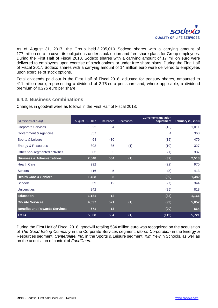

As of August 31, 2017, the Group held 2,205,010 Sodexo shares with a carrying amount of 177 million euro to cover its obligations under stock option and free share plans for Group employees. During the First Half of Fiscal 2018, Sodexo shares with a carrying amount of 17 million euro were delivered to employees upon exercise of stock options or under free share plans. During the First Half of Fiscal 2017, Sodexo shares with a carrying amount of 14 million euro were delivered to employees upon exercise of stock options.

Total dividends paid out in the First Half of Fiscal 2018, adjusted for treasury shares, amounted to 411 million euro, representing a dividend of 2.75 euro per share and, where applicable, a dividend premium of 0.275 euro per share.

### **6.4.2. Business combinations**

Changes in goodwill were as follows in the First Half of Fiscal 2018:

| (in millions of euro)                 | August 31, 2017 | <b>Increases</b> | <b>Decreases</b> | <b>Currency translation</b><br>adjustment | <b>February 28, 2018</b> |
|---------------------------------------|-----------------|------------------|------------------|-------------------------------------------|--------------------------|
| <b>Corporate Services</b>             | 1,022           | 4                |                  | (15)                                      | 1,011                    |
| Government & Agencies                 | 357             |                  |                  | 4                                         | 360                      |
| Sports & Leisure                      | 64              | 430              |                  | (15)                                      | 479                      |
| Energy & Resources                    | 302             | 35               | (1)              | (10)                                      | 327                      |
| Other non-segmented activities        | 303             | 35               |                  | (1)                                       | 337                      |
| <b>Business &amp; Administrations</b> | 2,048           | 504              | (1)              | (37)                                      | 2,513                    |
| <b>Health Care</b>                    | 992             |                  |                  | (22)                                      | 970                      |
| <b>Seniors</b>                        | 416             | 5                |                  | (8)                                       | 413                      |
| <b>Health Care &amp; Seniors</b>      | 1,408           | $\overline{5}$   |                  | (30)                                      | 1,382                    |
| <b>Schools</b>                        | 339             | 12               |                  | (7)                                       | 344                      |
| <b>Universities</b>                   | 842             |                  |                  | (25)                                      | 818                      |
| <b>Education</b>                      | 1,181           | 12               |                  | (32)                                      | 1,161                    |
| <b>On-site Services</b>               | 4,637           | 521              | (1)              | (99)                                      | 5,057                    |
| <b>Benefits and Rewards Services</b>  | 671             | 13               |                  | (20)                                      | 664                      |
| <b>TOTAL</b>                          | 5,308           | 534              | (1)              | (119)                                     | 5,721                    |

During the First Half of Fiscal 2018, goodwill totaling 534 million euro was recognized on the acquisition of *The Good Eating Company* in the Corporate Services segment, *Morris Corporation* in the Energy & Resources segment, *Centerplate, Inc.* in the Sports & Leisure segment, *Kim Yew* in Schools, as well as on the acquisition of control of *FoodChéri*.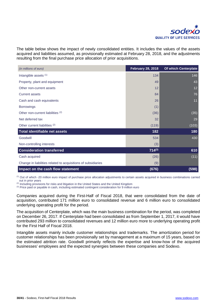

The table below shows the impact of newly consolidated entities. It includes the values of the assets acquired and liabilities assumed, as provisionally estimated at February 28, 2018, and the adjustments resulting from the final purchase price allocation of prior acquisitions.

| (in millions of euro)                                         | <b>February 28, 2018</b> | Of which Centerplate |
|---------------------------------------------------------------|--------------------------|----------------------|
| Intangible assets (1)                                         | 134                      | 146                  |
| Property, plant and equipment                                 | 49                       | 43                   |
| Other non-current assets                                      | 12                       | 12                   |
| <b>Current assets</b>                                         | 84                       | 76                   |
| Cash and cash equivalents                                     | 26                       | 11                   |
| <b>Borrowings</b>                                             | (1)                      |                      |
| Other non-current liabilities (2)                             | (36)                     | (35)                 |
| Net deferred tax                                              | 32                       | 29                   |
| Other current liabilities <sup>(2)</sup>                      | (119)                    | (103)                |
| Total identifiable net assets                                 | 182                      | 180                  |
| Goodwill                                                      | 534                      | 430                  |
| Non-controlling interests                                     | (3)                      |                      |
| <b>Consideration transferred</b>                              | $714^{(3)}$              | 610                  |
| Cash acquired                                                 | (26)                     | (11)                 |
| Change in liabilities related to acquisitions of subsidiaries | (9)                      |                      |
| Impact on the cash flow statement                             | (676)                    | (598)                |

(1) Out of which -20 million euro impact of purchase price allocation adjustments to certain assets acquired in business combinations carried out in prior years

<sup>(2)</sup> Including provisions for risks and litigation in the United States and the United Kingdom

(3) Price paid or payable in cash, including estimated contingent consideration for 9 million euro

Companies acquired during the First-Half of Fiscal 2018, that were consolidated from the date of acquisition, contributed 171 million euro to consolidated revenue and 6 million euro to consolidated underlying operating profit for the period.

The acquisition of Centerplate, which was the main business combination for the period, was completed on December 26, 2017. If Centerplate had been consolidated as from September 1, 2017, it would have contributed 293 million to consolidated revenues and 12 million euro more to underlying operating profit for the First Half of Fiscal 2018.

Intangible assets mainly include customer relationships and trademarks. The amortization period for customer relationships has been provisionally set by management at a maximum of 15 years, based on the estimated attrition rate. Goodwill primarily reflects the expertise and know-how of the acquired businesses' employees and the expected synergies between these companies and Sodexo.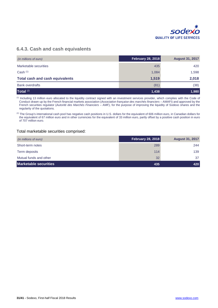

### **6.4.3. Cash and cash equivalents**

| (in millions of euro)                  | <b>February 28, 2018</b> | <b>August 31, 2017</b> |
|----------------------------------------|--------------------------|------------------------|
| Marketable securities                  | 435                      | 420                    |
| Cash $(1)$                             | 1,084                    | 1,598                  |
| <b>Total cash and cash equivalents</b> | 1,519                    | 2,018                  |
| <b>Bank overdrafts</b>                 | (81)                     | (38)                   |
| Total <sup>(2)</sup>                   | 1,438                    | 1,980                  |

(1) Including 13 million euro allocated to the liquidity contract signed with an investment services provider, which complies with the Code of Conduct drawn up by the French financial markets association (*Association française des marchés financiers* – AMAFI) and approved by the French securities regulator (*Autorité des Marchés Financiers* – AMF), for the purpose of improving the liquidity of Sodexo shares and the regularity of the quotations.

(2) The Group's international cash pool has negative cash positions in U.S. dollars for the equivalent of 606 million euro, in Canadian dollars for the equivalent of 67 million euro and in other currencies for the equivalent of 33 million euro, partly offset by a positive cash position in euro of 707 million euro.

#### Total marketable securities comprised:

| (in millions of euro)        | <b>February 28, 2018</b> | <b>August 31, 2017</b> |
|------------------------------|--------------------------|------------------------|
| Short-term notes             | 289                      | 244                    |
| Term deposits                | 114                      | 139                    |
| Mutual funds and other       | 32                       | 37                     |
| <b>Marketable securities</b> | 435                      | 420                    |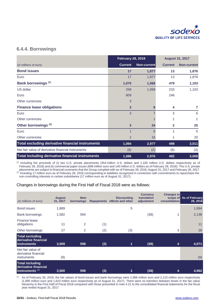

### **6.4.4. Borrowings**

|                                                         | <b>February 28, 2018</b> |             | <b>August 31, 2017</b> |                    |
|---------------------------------------------------------|--------------------------|-------------|------------------------|--------------------|
| (in millions of euro)                                   | <b>Current</b>           | Non-current | <b>Current</b>         | <b>Non-current</b> |
| <b>Bond issues</b>                                      | 17                       | 1,877       | 13                     | 1,876              |
| Euro                                                    | 17                       | 1,877       | 13                     | 1,876              |
| <b>Bank borrowings (1)</b>                              | 1,070                    | 1,068       | 479                    | 1,103              |
| US dollar                                               | 258                      | 1,068       | 233                    | 1,103              |
| Euro                                                    | 809                      |             | 246                    |                    |
| Other currencies                                        | 3                        |             |                        |                    |
| <b>Finance lease obligations</b>                        | 3                        | 8           | 4                      | $\overline{7}$     |
| Euro                                                    | 3                        |             | 3                      | 6                  |
| Other currencies                                        |                          |             |                        |                    |
| Other borrowings <sup>(2)</sup>                         | 3                        | 24          | $\mathbf{2}$           | 25                 |
| Euro                                                    | 1                        | 8           | 1                      | 5                  |
| Other currencies                                        | $\overline{2}$           | 16          |                        | 20                 |
| <b>Total excluding derivative financial instruments</b> | 1,094                    | 2,977       | 498                    | 3,011              |
| Net fair value of derivative financial instruments      | (8)                      | (2)         | (6)                    | (3)                |
| Total including derivative financial instruments        | 1,086                    | 2,976       | 492                    | 3,008              |

(1) Including the proceeds of (i) two U.S. private placements (354 million U.S. dollars and 1,100 million U.S. dollars respectively as of February 28, 2018) and (ii) commercial paper issues (808 million euro and 140 million U.S. dollars as of February 28, 2018). The U.S. private placements are subject to financial covenants that the Group complied with as of February 28, 2018, August 31, 2017 and February 28, 2017.

 $^{(2)}$  Including 17 million euro as of February 28, 2018 corresponding to liabilities recognized in connection with commitments to repurchase the non-controlling interests in certain subsidiaries (17 million euro as of August 31, 2017).

### Changes in borrowings during the First Half of Fiscal 2018 were as follows:

| (in millions of euro)                                                   | <b>August</b><br>31, 2017 | <b>New</b><br>borrowings | <b>Repayments</b> | <b>Discounting</b><br>effects and other | <b>Currency</b><br>translation<br>adjustment | Changes in<br>consolidation | scope of As of February<br>28, 2018 |
|-------------------------------------------------------------------------|---------------------------|--------------------------|-------------------|-----------------------------------------|----------------------------------------------|-----------------------------|-------------------------------------|
| <b>Bond issues</b>                                                      | 1,889                     |                          |                   | 5                                       |                                              |                             | 1,894                               |
| <b>Bank borrowings</b>                                                  | 1,582                     | 594                      |                   |                                         | (38)                                         |                             | 2,138                               |
| Finance lease<br>obligations                                            | 11                        | 2                        | (1)               |                                         |                                              |                             | 11                                  |
| Other borrowings                                                        | 27                        | 2                        | (2)               | (3)                                     |                                              | 3                           | 28                                  |
| <b>Total excluding</b><br>derivative financial<br>instruments           | 3,509                     | 598                      | (3)               | 1                                       | (38)                                         | 4                           | 4,071                               |
| Net fair value of<br>derivative financial<br><i>instruments</i>         | (9)                       |                          |                   |                                         |                                              |                             | (9)                                 |
| <b>Total including</b><br>derivative financial<br>$l$ instruments $(1)$ | 3,500                     | 598                      | (3)               | 1                                       | (38)                                         | 4                           | 4,062                               |

(1) As of February 28, 2018, the fair values of bond issues and bank borrowings were 1,968 million euro and 2,110 million euro respectively (1,990 million euro and 1,623 million euro respectively as of August 31, 2017). There were no transfers between levels in the fair value hierarchy in the First Half of Fiscal 2018 compared with those presented in note 4.21 to the consolidated financial statements for the fiscal year ended August 31, 2017.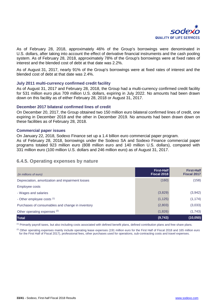

As of February 28, 2018, approximately 46% of the Group's borrowings were denominated in U.S. dollars, after taking into account the effect of derivative financial instruments and the cash pooling system. As of February 28, 2018, approximately 78% of the Group's borrowings were at fixed rates of interest and the blended cost of debt at that date was 2.2%.

As of August 31, 2017, nearly 91% of the Group's borrowings were at fixed rates of interest and the blended cost of debt at that date was 2.4%.

### **July 2011 multi-currency confirmed credit facility**

As of August 31, 2017 and February 28, 2018, the Group had a multi-currency confirmed credit facility for 531 million euro plus 709 million U.S. dollars, expiring in July 2022. No amounts had been drawn down on this facility as of either February 28, 2018 or August 31, 2017.

### **December 2017 bilateral confirmed lines of credit**

On December 20, 2017, the Group obtained two 150 million euro bilateral confirmed lines of credit, one expiring in December 2018 and the other in December 2019. No amounts had been drawn down on these facilities as of February 28, 2018.

### **Commercial paper issues**

On January 22, 2018, Sodexo Finance set up a 1.4 billion euro commercial paper program. As of February 28, 2018, borrowings under the Sodexo SA and Sodexo Finance commercial paper

programs totaled 923 million euro (808 million euro and 140 million U.S. dollars), compared with 331 million euro (100 million U.S. dollars and 246 million euro) as of August 31, 2017.

### **6.4.5. Operating expenses by nature**

| (in millions of euro)                            | First-Half<br>Fiscal 2018 | <b>First-Half</b><br><b>Fiscal 2017</b> |
|--------------------------------------------------|---------------------------|-----------------------------------------|
| Depreciation, amortization and impairment losses | (160)                     | (158)                                   |
| Employee costs                                   |                           |                                         |
| - Wages and salaries                             | (3,829)                   | (3,942)                                 |
| - Other employee costs (1)                       | (1, 125)                  | (1, 174)                                |
| Purchases of consumables and change in inventory | (2,803)                   | (3,033)                                 |
| Other operating expenses (2)                     | (1,826)                   | (1,743)                                 |
| <b>Total</b>                                     | (9, 743)                  | (10, 050)                               |

(1) Primarily payroll taxes, but also including costs associated with defined benefit plans, defined contribution plans and free share plans.

<sup>(2)</sup> Other operating expenses mainly include operating lease expenses (191 million euro for the First Half of Fiscal 2018 and 165 million euro for the First Half of Fiscal 2017), professional fees, other purchases used for operations, sub-contracting costs and travel expenses.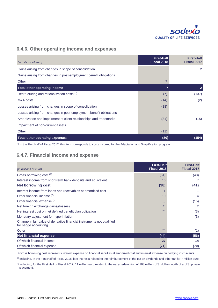

### **6.4.6. Other operating income and expenses**

| (in millions of euro)                                              | <b>First-Half</b><br>Fiscal 2018 | <b>First-Half</b><br><b>Fiscal 2017</b> |
|--------------------------------------------------------------------|----------------------------------|-----------------------------------------|
| Gains arising from changes in scope of consolidation               |                                  | 2                                       |
| Gains arising from changes in post-employment benefit obligations  |                                  |                                         |
| Other                                                              | $\overline{7}$                   |                                         |
| Total other operating income                                       | $\overline{7}$                   | $\overline{2}$                          |
| Restructuring and rationalization costs (1)                        | (7)                              | (137)                                   |
| M&A costs                                                          | (14)                             | (2)                                     |
| Losses arising from changes in scope of consolidation              | (18)                             |                                         |
| Losses arising from changes in post-employment benefit obligations |                                  |                                         |
| Amortization and impairment of client relationships and trademarks | (31)                             | (15)                                    |
| Impairment of non-current assets                                   |                                  |                                         |
| Other                                                              | (11)                             |                                         |
| <b>Total other operating expenses</b>                              | (80)                             | (154)                                   |

(1) In the First Half of Fiscal 2017, this item corresponds to costs incurred for the Adaptation and Simplification program.

### **6.4.7. Financial income and expense**

| (in millions of euro)                                                                          | <b>First-Half</b><br>Fiscal 2018 | <b>First-Half</b><br><b>Fiscal 2017</b> |
|------------------------------------------------------------------------------------------------|----------------------------------|-----------------------------------------|
| Gross borrowing cost (1)                                                                       | (54)                             | (48)                                    |
| Interest income from short-term bank deposits and equivalent                                   | 16                               |                                         |
| <b>Net borrowing cost</b>                                                                      | (38)                             | (41)                                    |
| Interest income from loans and receivables at amortized cost                                   |                                  |                                         |
| Other financial income (2)                                                                     | 10                               | 4                                       |
| Other financial expense (3)                                                                    | (5)                              | (15)                                    |
| Net foreign exchange gains/(losses)                                                            | (4)                              | 2                                       |
| Net interest cost on net defined benefit plan obligation                                       | (4)                              | (3)                                     |
| Monetary adjustment for hyperinflation                                                         |                                  | (3)                                     |
| Change in fair value of derivative financial instruments not qualified<br>for hedge accounting |                                  |                                         |
| Other                                                                                          | (4)                              | (1)                                     |
| <b>Net financial expense</b>                                                                   | (44)                             | (56)                                    |
| Of which financial income                                                                      | 27                               | 14                                      |
| Of which financial expense                                                                     | (71)                             | (70)                                    |

(1) Gross borrowing cost represents interest expense on financial liabilities at amortized cost and interest expense on hedging instruments.

<sup>(2)</sup> Including, in the First Half of Fiscal 2018, late interests related to the reimbursement of the tax on dividends and other tax for 7 million euro.

(3) Including, for the First Half of Fiscal 2017, 11 million euro related to the early redemption of 108 million U.S. dollars worth of a U.S. private placement.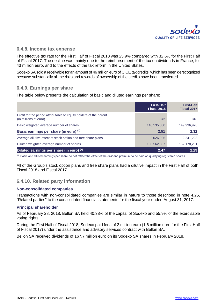

### **6.4.8. Income tax expense**

The effective tax rate for the First Half of Fiscal 2018 was 25.9% compared with 32.6% for the First Half of Fiscal 2017. The decline was mainly due to the reimbursement of the tax on dividends in France, for 43 million euro, and to the effects of the tax reform in the United States.

Sodexo SA sold a receivable for an amount of 46 million euro of CICE tax credits, which has been derecognized because substantially all the risks and rewards of ownership of the credits have been transferred.

### **6.4.9. Earnings per share**

The table below presents the calculation of basic and diluted earnings per share:

|                                                                                             | <b>First-Half</b><br>Fiscal 2018 | <b>First-Half</b><br><b>Fiscal 2017</b> |
|---------------------------------------------------------------------------------------------|----------------------------------|-----------------------------------------|
| Profit for the period attributable to equity holders of the parent<br>(in millions of euro) | 372                              | 348                                     |
| Basic weighted average number of shares                                                     | 148,535,880                      | 149,936,978                             |
| Basic earnings per share (in euro) (1)                                                      | 2.51                             | 2.32                                    |
| Average dilutive effect of stock option and free share plans                                | 2,026,926                        | 2,241,223                               |
| Diluted weighted average number of shares                                                   | 150,562,807                      | 152,178,201                             |
| Diluted earnings per share (in euro) (1)                                                    | 2.47                             | 2.29                                    |

(1) Basic and diluted earnings per share do not reflect the effect of the dividend premium to be paid on qualifying registered shares.

All of the Group's stock option plans and free share plans had a dilutive impact in the First Half of both Fiscal 2018 and Fiscal 2017.

### **6.4.10. Related party information**

### **Non-consolidated companies**

Transactions with non-consolidated companies are similar in nature to those described in note 4.25, "Related parties" to the consolidated financial statements for the fiscal year ended August 31, 2017.

### **Principal shareholder**

As of February 28, 2018, Bellon SA held 40.38% of the capital of Sodexo and 55.9% of the exercisable voting rights.

During the First Half of Fiscal 2018, Sodexo paid fees of 2 million euro (1.6 million euro for the First Half of Fiscal 2017) under the assistance and advisory services contract with Bellon SA.

Bellon SA received dividends of 167.7 million euro on its Sodexo SA shares in February 2018.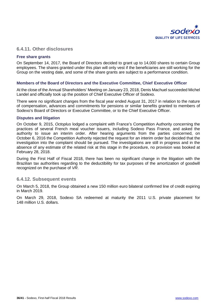

### **6.4.11. Other disclosures**

### **Free share grants**

On September 14, 2017, the Board of Directors decided to grant up to 14,000 shares to certain Group employees. The shares granted under this plan will only vest if the beneficiaries are still working for the Group on the vesting date, and some of the share grants are subject to a performance condition.

#### **Members of the Board of Directors and the Executive Committee, Chief Executive Officer**

At the close of the Annual Shareholders' Meeting on January 23, 2018, Denis Machuel succeeded Michel Landel and officially took up the position of Chief Executive Officer of Sodexo.

There were no significant changes from the fiscal year ended August 31, 2017 in relation to the nature of compensation, advances and commitments for pensions or similar benefits granted to members of Sodexo's Board of Directors or Executive Committee, or to the Chief Executive Officer.

#### **Disputes and litigation**

On October 9, 2015, *Octoplus* lodged a complaint with France's Competition Authority concerning the practices of several French meal voucher issuers, including Sodexo Pass France, and asked the authority to issue an interim order. After hearing arguments from the parties concerned, on October 6, 2016 the Competition Authority rejected the request for an interim order but decided that the investigation into the complaint should be pursued. The investigations are still in progress and in the absence of any estimate of the related risk at this stage in the procedure, no provision was booked at February 28, 2018.

During the First Half of Fiscal 2018, there has been no significant change in the litigation with the Brazilian tax authorities regarding to the deductibility for tax purposes of the amortization of goodwill recognized on the purchase of *VR*.

### **6.4.12. Subsequent events**

On March 5, 2018, the Group obtained a new 150 million euro bilateral confirmed line of credit expiring in March 2019.

On March 29, 2018, Sodexo SA redeemed at maturity the 2011 U.S. private placement for 148 million U.S. dollars.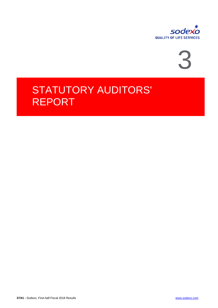



# STATUTORY AUDITORS' REPORT

**37/41 -** Sodexo, First-half Fiscal 2018 Results [www.sodexo.com](http://www.sodexo.com/)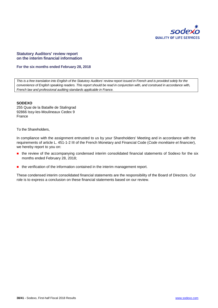

#### **Statutory Auditors' review report on the interim financial information**

#### **For the six months ended February 28, 2018**

*This is a free translation into English of the Statutory Auditors' review report issued in French and is provided solely for the convenience of English speaking readers. This report should be read in conjunction with, and construed in accordance with, French law and professional auditing standards applicable in France.*

#### **SODEXO**

255 Quai de la Bataille de Stalingrad 92866 Issy-les-Moulineaux Cedex 9 France

To the Shareholders,

In compliance with the assignment entrusted to us by your Shareholders' Meeting and in accordance with the requirements of article L. 451-1-2 III of the French Monetary and Financial Code (*Code monétaire et financier*), we hereby report to you on:

- **n** the review of the accompanying condensed interim consolidated financial statements of Sodexo for the six months ended February 28, 2018;
- **the verification of the information contained in the interim management report.**

These condensed interim consolidated financial statements are the responsibility of the Board of Directors*.* Our role is to express a conclusion on these financial statements based on our review.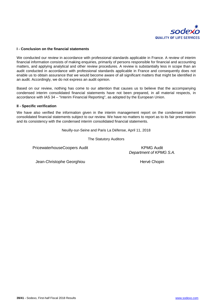

#### **I - Conclusion on the financial statements**

We conducted our review in accordance with professional standards applicable in France. A review of interim financial information consists of making enquiries, primarily of persons responsible for financial and accounting matters, and applying analytical and other review procedures. A review is substantially less in scope than an audit conducted in accordance with professional standards applicable in France and consequently does not enable us to obtain assurance that we would become aware of all significant matters that might be identified in an audit. Accordingly, we do not express an audit opinion.

Based on our review, nothing has come to our attention that causes us to believe that the accompanying condensed interim consolidated financial statements have not been prepared, in all material respects, in accordance with IAS 34 – "Interim Financial Reporting", as adopted by the European Union.

#### **II - Specific verification**

We have also verified the information given in the interim management report on the condensed interim consolidated financial statements subject to our review. We have no matters to report as to its fair presentation and its consistency with the condensed interim consolidated financial statements.

Neuilly-sur-Seine and Paris La Défense, April 11, 2018

The Statutory Auditors

PricewaterhouseCoopers Audit New York Channels And KPMG Audit

*Department of KPMG S.A.*

Jean-Christophe Georghiou **Hervé Chopin** Hervé Chopin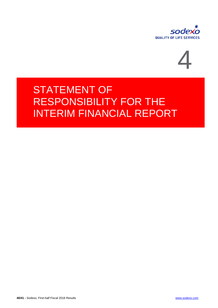



# STATEMENT OF RESPONSIBILITY FOR THE INTERIM FINANCIAL REPORT